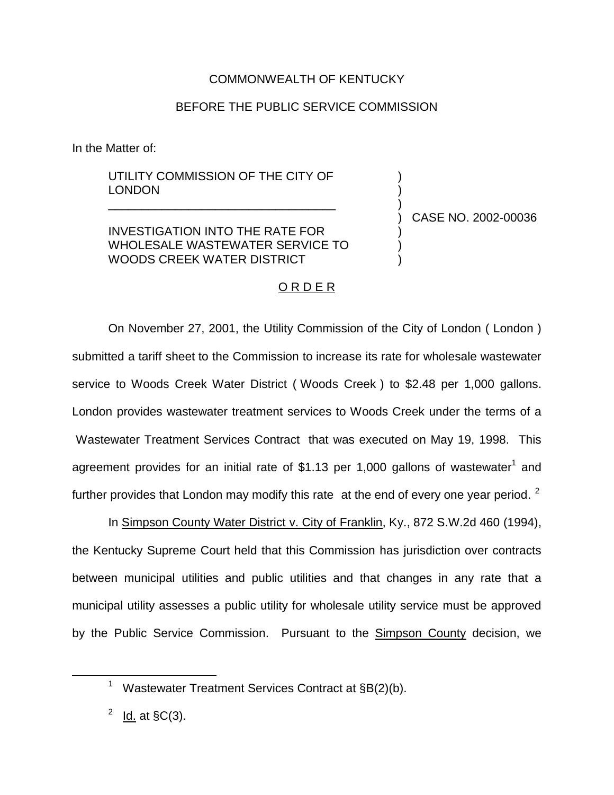## COMMONWEALTH OF KENTUCKY

## BEFORE THE PUBLIC SERVICE COMMISSION

In the Matter of:

## UTILITY COMMISSION OF THE CITY OF LONDON

\_\_\_\_\_\_\_\_\_\_\_\_\_\_\_\_\_\_\_\_\_\_\_\_\_\_\_\_\_\_\_\_\_\_

INVESTIGATION INTO THE RATE FOR WHOLESALE WASTEWATER SERVICE TO WOODS CREEK WATER DISTRICT

) CASE NO. 2002-00036

) ) )

) ) )

## O R D E R

On November 27, 2001, the Utility Commission of the City of London ( London ) submitted a tariff sheet to the Commission to increase its rate for wholesale wastewater service to Woods Creek Water District ( Woods Creek ) to \$2.48 per 1,000 gallons. London provides wastewater treatment services to Woods Creek under the terms of a Wastewater Treatment Services Contract that was executed on May 19, 1998. This agreement provides for an initial rate of \$1.13 per 1,000 gallons of wastewater<sup>1</sup> and further provides that London may modify this rate at the end of every one year period.  $2$ 

In Simpson County Water District v. City of Franklin, Ky., 872 S.W.2d 460 (1994), the Kentucky Supreme Court held that this Commission has jurisdiction over contracts between municipal utilities and public utilities and that changes in any rate that a municipal utility assesses a public utility for wholesale utility service must be approved by the Public Service Commission. Pursuant to the Simpson County decision, we

Wastewater Treatment Services Contract at §B(2)(b).

 $\frac{2}{10}$  ld. at §C(3).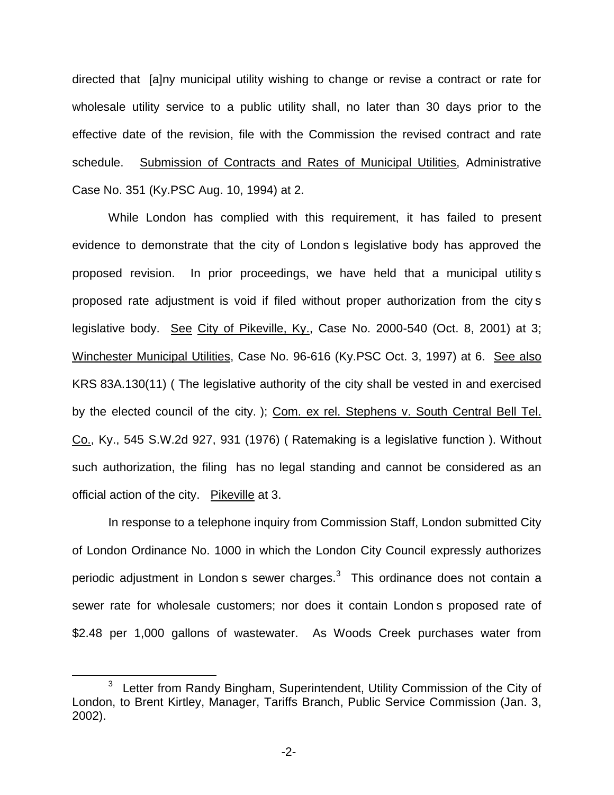directed that [a]ny municipal utility wishing to change or revise a contract or rate for wholesale utility service to a public utility shall, no later than 30 days prior to the effective date of the revision, file with the Commission the revised contract and rate schedule. Submission of Contracts and Rates of Municipal Utilities, Administrative Case No. 351 (Ky.PSC Aug. 10, 1994) at 2.

While London has complied with this requirement, it has failed to present evidence to demonstrate that the city of London s legislative body has approved the proposed revision. In prior proceedings, we have held that a municipal utility s proposed rate adjustment is void if filed without proper authorization from the city s legislative body. See City of Pikeville, Ky., Case No. 2000-540 (Oct. 8, 2001) at 3; Winchester Municipal Utilities, Case No. 96-616 (Ky.PSC Oct. 3, 1997) at 6. See also KRS 83A.130(11) ( The legislative authority of the city shall be vested in and exercised by the elected council of the city. ); Com. ex rel. Stephens v. South Central Bell Tel. Co., Ky., 545 S.W.2d 927, 931 (1976) ( Ratemaking is a legislative function ). Without such authorization, the filing has no legal standing and cannot be considered as an official action of the city. Pikeville at 3.

In response to a telephone inquiry from Commission Staff, London submitted City of London Ordinance No. 1000 in which the London City Council expressly authorizes periodic adjustment in London s sewer charges. $3$  This ordinance does not contain a sewer rate for wholesale customers; nor does it contain London s proposed rate of \$2.48 per 1,000 gallons of wastewater. As Woods Creek purchases water from

<sup>&</sup>lt;sup>3</sup> Letter from Randy Bingham, Superintendent, Utility Commission of the City of London, to Brent Kirtley, Manager, Tariffs Branch, Public Service Commission (Jan. 3, 2002).